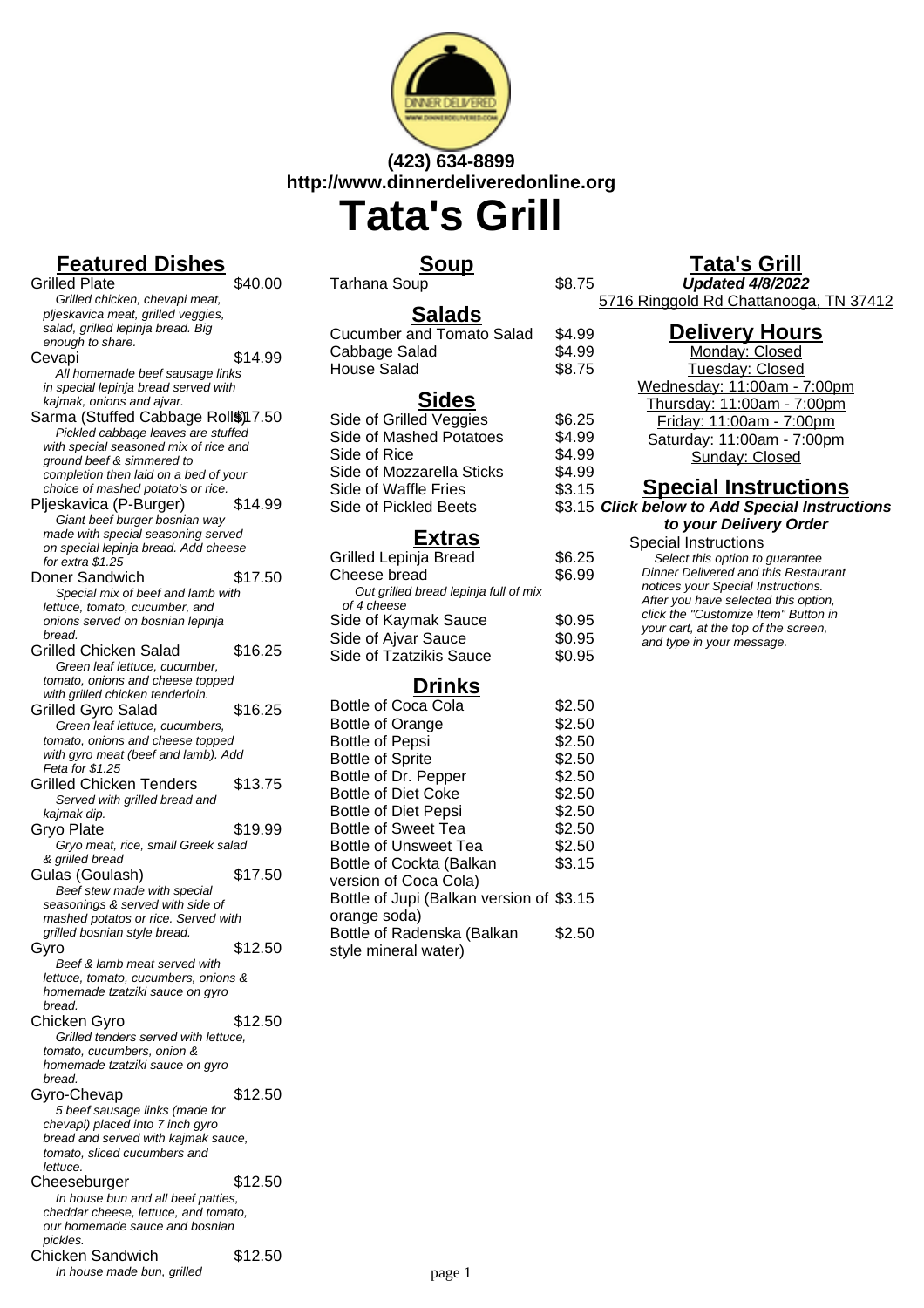

# **(423) 634-8899 http://www.dinnerdeliveredonline.org Tata's Grill**

**Featured Dishes** Grilled Plate \$40.00 Grilled chicken, chevapi meat, pljeskavica meat, grilled veggies, salad, grilled lepinja bread. Big enough to share. Cevapi \$14.99 All homemade beef sausage links in special lepinja bread served with kajmak, onions and ajvar. Sarma (Stuffed Cabbage Roll\$)17.50 Pickled cabbage leaves are stuffed with special seasoned mix of rice and ground beef & simmered to completion then laid on a bed of your choice of mashed potato's or rice. Pljeskavica (P-Burger) \$14.99 Giant beef burger bosnian way made with special seasoning served on special lepinja bread. Add cheese for extra \$1.25 Doner Sandwich \$17.50 Special mix of beef and lamb with lettuce, tomato, cucumber, and onions served on bosnian lepinja bread. Grilled Chicken Salad \$16.25 Green leaf lettuce, cucumber, tomato, onions and cheese topped with grilled chicken tenderloin. Grilled Gyro Salad \$16.25 Green leaf lettuce, cucumbers, tomato, onions and cheese topped with gyro meat (beef and lamb). Add Feta for \$1.25 Grilled Chicken Tenders \$13.75 Served with grilled bread and kajmak dip. Gryo Plate \$19.99 Gryo meat, rice, small Greek salad & grilled bread Gulas (Goulash) \$17.50 Beef stew made with special seasonings & served with side of mashed potatos or rice. Served with grilled bosnian style bread. Gyro \$12.50 Beef & lamb meat served with lettuce, tomato, cucumbers, onions & homemade tzatziki sauce on gyro bread. Chicken Gyro \$12.50 Grilled tenders served with lettuce, tomato, cucumbers, onion & homemade tzatziki sauce on gyro bread. Gyro-Chevap \$12.50 5 beef sausage links (made for chevapi) placed into 7 inch gyro bread and served with kajmak sauce, tomato, sliced cucumbers and lettuce. Cheeseburger \$12.50 In house bun and all beef patties, cheddar cheese, lettuce, and tomato, our homemade sauce and bosnian pickles.

## Chicken Sandwich \$12.50 In house made bun, grilled

# **Soup**

Tarhana Soup

| <b>Salads</b>                    |        |
|----------------------------------|--------|
| <b>Cucumber and Tomato Salad</b> | \$4.99 |
| Cabbage Salad                    | \$4.99 |
| <b>House Salad</b>               | \$8.75 |
| <b>Sides</b>                     |        |
| Side of Grilled Veggies          | \$6.25 |
| Side of Mashed Potatoes          | \$4.99 |
| Side of Rice                     | ፍ⊿ aa  |

| Side of Mashed Potatoes   | \$4.99 |
|---------------------------|--------|
| Side of Rice              | \$4.99 |
| Side of Mozzarella Sticks | \$4.99 |
| Side of Waffle Fries      | \$3.15 |
| Side of Pickled Beets     | \$3.15 |
|                           |        |

## **Extras**

| Grilled Lepinja Bread                 | \$6.25 |
|---------------------------------------|--------|
| Cheese bread                          | \$6.99 |
| Out grilled bread lepinja full of mix |        |
| of 4 cheese                           |        |
| Side of Kaymak Sauce                  | \$0.95 |
| Side of Ajvar Sauce                   | \$0.95 |
| <b>Side of Tzatzikis Sauce</b>        | \$0.95 |

# **Drinks**

| <b>Bottle of Coca Cola</b>               | \$2.50 |
|------------------------------------------|--------|
| <b>Bottle of Orange</b>                  | \$2.50 |
| <b>Bottle of Pepsi</b>                   | \$2.50 |
| <b>Bottle of Sprite</b>                  | \$2.50 |
| Bottle of Dr. Pepper                     | \$2.50 |
| <b>Bottle of Diet Coke</b>               | \$2.50 |
| <b>Bottle of Diet Pepsi</b>              | \$2.50 |
| <b>Bottle of Sweet Tea</b>               | \$2.50 |
| <b>Bottle of Unsweet Tea</b>             | \$2.50 |
| Bottle of Cockta (Balkan                 | \$3.15 |
| version of Coca Cola)                    |        |
| Bottle of Jupi (Balkan version of \$3.15 |        |
| orange soda)                             |        |
| Bottle of Radenska (Balkan               | \$2.50 |
| style mineral water)                     |        |

# **Tata's Grill**

**Updated 4/8/2022** 5716 Ringgold Rd Chattanooga, TN 37412

| <b>Delivery Hours</b>                          |
|------------------------------------------------|
| Monday: Closed                                 |
| Tuesday: Closed                                |
| Wednesday: 11:00am - 7:00pm                    |
| Thursday: 11:00am - 7:00pm                     |
| Friday: 11:00am - 7:00pm                       |
| Saturday: 11:00am - 7:00pm                     |
| Sunday: Closed                                 |
| <b>Special Instructions</b>                    |
| <b>Click below to Add Special Instructions</b> |

### **to your Delivery Order** Special Instructions Select this option to quarantee Dinner Delivered and this Restaurant notices your Special Instructions. After you have selected this option, click the "Customize Item" Button in your cart, at the top of the screen, and type in your message.